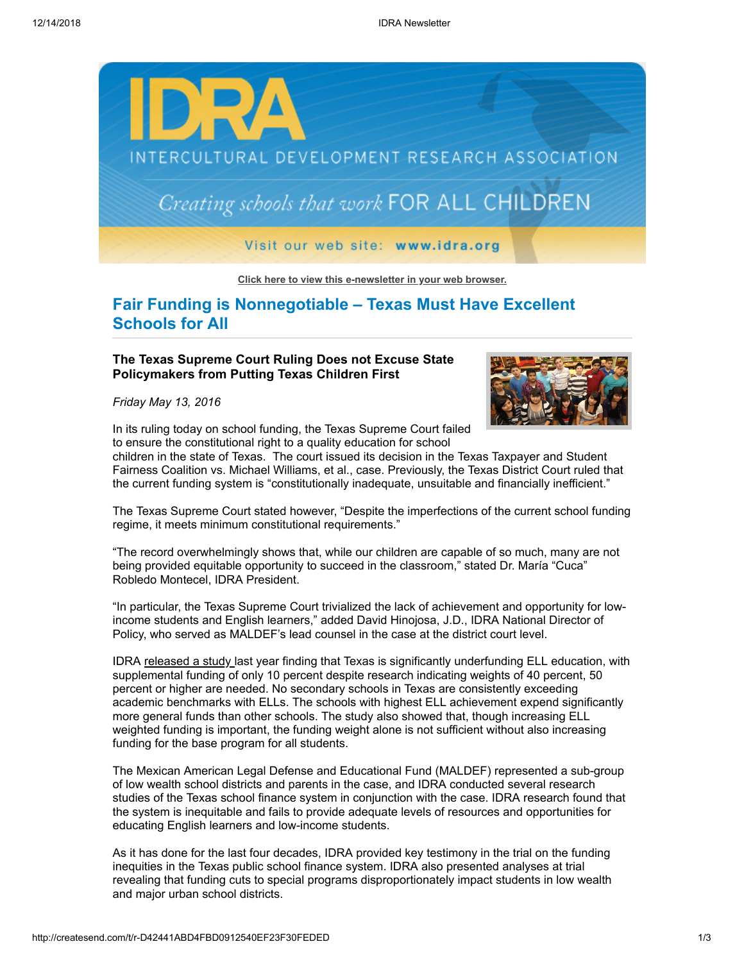

**[Click here to view this e-newsletter in your web browser.](http://newsletter.impulsedevelopment.com/t/r-e-sgjukl-l-r/)**

**Fair Funding is Nonnegotiable – Texas Must Have Excellent Schools for All**

## **The Texas Supreme Court Ruling Does not Excuse State Policymakers from Putting Texas Children First**

*Friday May 13, 2016*



In its ruling today on school funding, the Texas Supreme Court failed to ensure the constitutional right to a quality education for school

children in the state of Texas. The court issued its decision in the Texas Taxpayer and Student Fairness Coalition vs. Michael Williams, et al., case. Previously, the Texas District Court ruled that the current funding system is "constitutionally inadequate, unsuitable and financially inefficient."

The Texas Supreme Court stated however, "Despite the imperfections of the current school funding regime, it meets minimum constitutional requirements."

"The record overwhelmingly shows that, while our children are capable of so much, many are not being provided equitable opportunity to succeed in the classroom," stated Dr. María "Cuca" Robledo Montecel, IDRA President.

"In particular, the Texas Supreme Court trivialized the lack of achievement and opportunity for lowincome students and English learners," added David Hinojosa, J.D., IDRA National Director of Policy, who served as MALDEF's lead counsel in the case at the district court level.

IDRA [released a study l](http://idra.createsend1.com/t/r-l-sgjukl-l-i/)ast year finding that Texas is significantly underfunding ELL education, with supplemental funding of only 10 percent despite research indicating weights of 40 percent, 50 percent or higher are needed. No secondary schools in Texas are consistently exceeding academic benchmarks with ELLs. The schools with highest ELL achievement expend significantly more general funds than other schools. The study also showed that, though increasing ELL weighted funding is important, the funding weight alone is not sufficient without also increasing funding for the base program for all students.

The Mexican American Legal Defense and Educational Fund (MALDEF) represented a sub-group of low wealth school districts and parents in the case, and IDRA conducted several research studies of the Texas school finance system in conjunction with the case. IDRA research found that the system is inequitable and fails to provide adequate levels of resources and opportunities for educating English learners and low-income students.

As it has done for the last four decades, IDRA provided key testimony in the trial on the funding inequities in the Texas public school finance system. IDRA also presented analyses at trial revealing that funding cuts to special programs disproportionately impact students in low wealth and major urban school districts.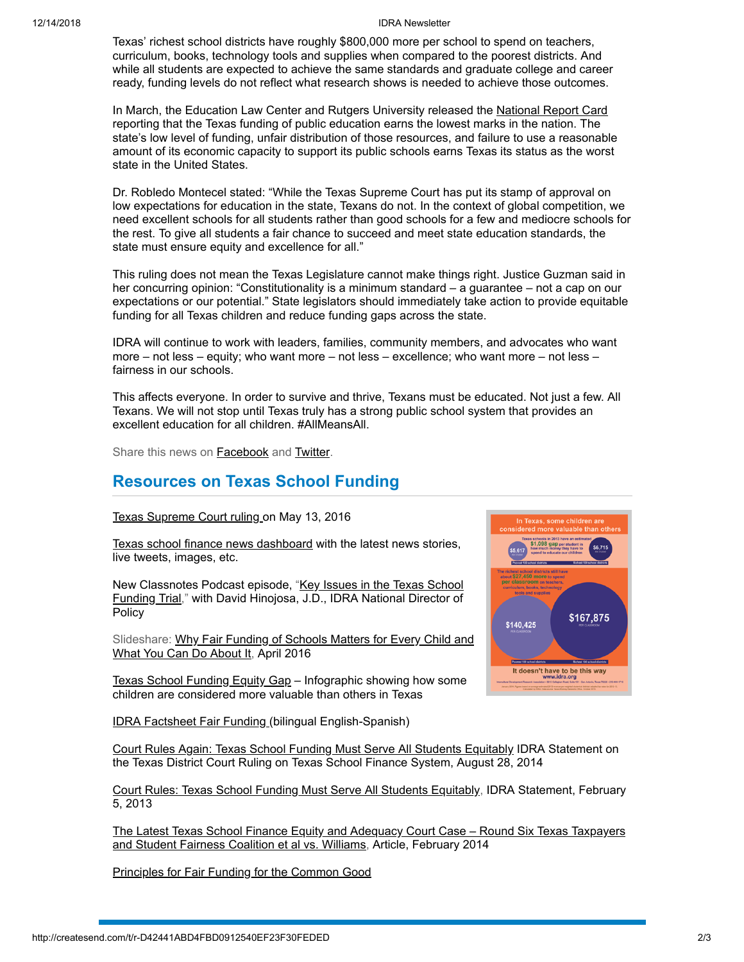## 12/14/2018 IDRA Newsletter

Texas' richest school districts have roughly \$800,000 more per school to spend on teachers, curriculum, books, technology tools and supplies when compared to the poorest districts. And while all students are expected to achieve the same standards and graduate college and career ready, funding levels do not reflect what research shows is needed to achieve those outcomes.

In March, the Education Law Center and Rutgers University released the [National Report Card](http://idra.createsend1.com/t/r-l-sgjukl-l-d/) reporting that the Texas funding of public education earns the lowest marks in the nation. The state's low level of funding, unfair distribution of those resources, and failure to use a reasonable amount of its economic capacity to support its public schools earns Texas its status as the worst state in the United States.

Dr. Robledo Montecel stated: "While the Texas Supreme Court has put its stamp of approval on low expectations for education in the state, Texans do not. In the context of global competition, we need excellent schools for all students rather than good schools for a few and mediocre schools for the rest. To give all students a fair chance to succeed and meet state education standards, the state must ensure equity and excellence for all."

This ruling does not mean the Texas Legislature cannot make things right. Justice Guzman said in her concurring opinion: "Constitutionality is a minimum standard – a guarantee – not a cap on our expectations or our potential." State legislators should immediately take action to provide equitable funding for all Texas children and reduce funding gaps across the state.

IDRA will continue to work with leaders, families, community members, and advocates who want more – not less – equity; who want more – not less – excellence; who want more – not less – fairness in our schools.

This affects everyone. In order to survive and thrive, Texans must be educated. Not just a few. All Texans. We will not stop until Texas truly has a strong public school system that provides an excellent education for all children. #AllMeansAll.

Share this news on **Facebook** and **[Twitter](http://idra.createsend1.com/t/r-tw-sgjukl-l-v/)**.

## **Resources on Texas School Funding**

[Texas Supreme Court ruling](http://idra.createsend1.com/t/r-l-sgjukl-l-k/) on May 13, 2016

[Texas school finance news dashboard](http://idra.createsend1.com/t/r-l-sgjukl-l-u/) with the latest news stories, live tweets, images, etc.

[New Classnotes Podcast episode, "Key Issues in the Texas School](http://idra.createsend1.com/t/r-l-sgjukl-l-o/) Funding Trial," with David Hinojosa, J.D., IDRA National Director of Policy

[Slideshare: Why Fair Funding of Schools Matters for Every Child and](http://idra.createsend1.com/t/r-l-sgjukl-l-b/) What You Can Do About It, April 2016

[Texas School Funding Equity Gap](http://idra.createsend1.com/t/r-l-sgjukl-l-n/) – Infographic showing how some children are considered more valuable than others in Texas

[IDRA Factsheet Fair Funding \(](http://idra.createsend1.com/t/r-l-sgjukl-l-p/)bilingual English-Spanish)



[Court Rules Again: Texas School Funding Must Serve All Students Equitably](http://idra.createsend1.com/t/r-l-sgjukl-l-x/) IDRA Statement on the Texas District Court Ruling on Texas School Finance System, August 28, 2014

[Court Rules: Texas School Funding Must Serve All Students Equitably](http://idra.createsend1.com/t/r-l-sgjukl-l-m/), IDRA Statement, February 5, 2013

[The Latest Texas School Finance Equity and Adequacy Court Case – Round Six Texas Taxpayers](http://idra.createsend1.com/t/r-l-sgjukl-l-c/) and Student Fairness Coalition et al vs. Williams, Article, February 2014

[Principles for Fair Funding for the Common Good](http://idra.createsend1.com/t/r-l-sgjukl-l-q/)